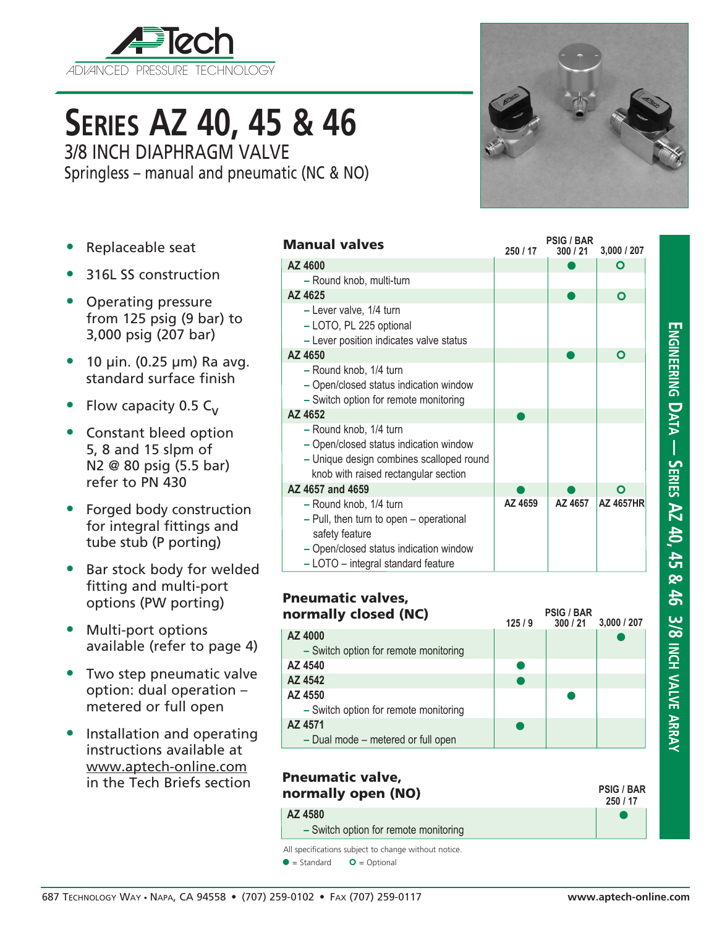

# **Series AZ 40, 45 & 46**

3/8 INCH DIAPHRAGM VALVE Springless – manual and pneumatic (NC & NO)

- Replaceable seat
- 316L SS construction
- Operating pressure from 125 psig (9 bar) to 3,000 psig (207 bar)
- $\bullet$  10 µin. (0.25 µm) Ra avg. standard surface finish
- Flow capacity 0.5  $C_v$
- Constant bleed option 5, 8 and 15 slpm of N2 @ 80 psig (5.5 bar) refer to PN 430
- Forged body construction for integral fittings and tube stub (P porting)
- Bar stock body for welded fitting and multi-port options (PW porting)
- Multi-port options available (refer to page 4)
- Two step pneumatic valve option: dual operation – metered or full open
- Installation and operating instructions available at www.aptech-online.com in the Tech Briefs section

| <b>Manual valves</b>                                                                                                                                                | 250 / 17 | <b>PSIG / BAR</b><br>300/21 | 3,000 / 207      |
|---------------------------------------------------------------------------------------------------------------------------------------------------------------------|----------|-----------------------------|------------------|
| AZ 4600                                                                                                                                                             |          |                             | O                |
| - Round knob, multi-turn                                                                                                                                            |          |                             |                  |
| AZ 4625                                                                                                                                                             |          |                             | O                |
| - Lever valve, 1/4 turn<br>- LOTO, PL 225 optional<br>- Lever position indicates valve status                                                                       |          |                             |                  |
| AZ 4650                                                                                                                                                             |          |                             | O                |
| - Round knob, 1/4 turn<br>- Open/closed status indication window<br>- Switch option for remote monitoring                                                           |          |                             |                  |
| AZ 4652                                                                                                                                                             |          |                             |                  |
| - Round knob, 1/4 turn<br>- Open/closed status indication window<br>- Unique design combines scalloped round<br>knob with raised rectangular section                |          |                             |                  |
| AZ 4657 and 4659                                                                                                                                                    |          |                             | O                |
| - Round knob, 1/4 turn<br>- Pull, then turn to open - operational<br>safety feature<br>- Open/closed status indication window<br>- LOTO - integral standard feature | AZ 4659  | AZ 4657                     | <b>AZ 4657HR</b> |

| <b>Pneumatic valves,</b><br>normally closed (NC) | 125/9 | <b>PSIG / BAR</b><br>300/21 | 3,000/207 |
|--------------------------------------------------|-------|-----------------------------|-----------|
| AZ 4000                                          |       |                             |           |
| - Switch option for remote monitoring            |       |                             |           |
| AZ 4540                                          |       |                             |           |
| AZ 4542                                          |       |                             |           |
| AZ 4550                                          |       |                             |           |
| - Switch option for remote monitoring            |       |                             |           |
| AZ 4571                                          |       |                             |           |
| - Dual mode - metered or full open               |       |                             |           |

## Pneumatic valve, normally open (NO) **AZ 4580 –** Switch option for remote monitoring

# All specifications subject to change without notice.

 $\bullet$  = Standard  $\bullet$  = Optional



| 1<br>Ì                                                    |
|-----------------------------------------------------------|
| <b>DERIES AL 4U, 4D &amp; 4D 3/8 INCH VALVE ARRA</b><br>F |

**ENGIN** 

 $\bullet$ **250 / 17**

**PSIG / BAR**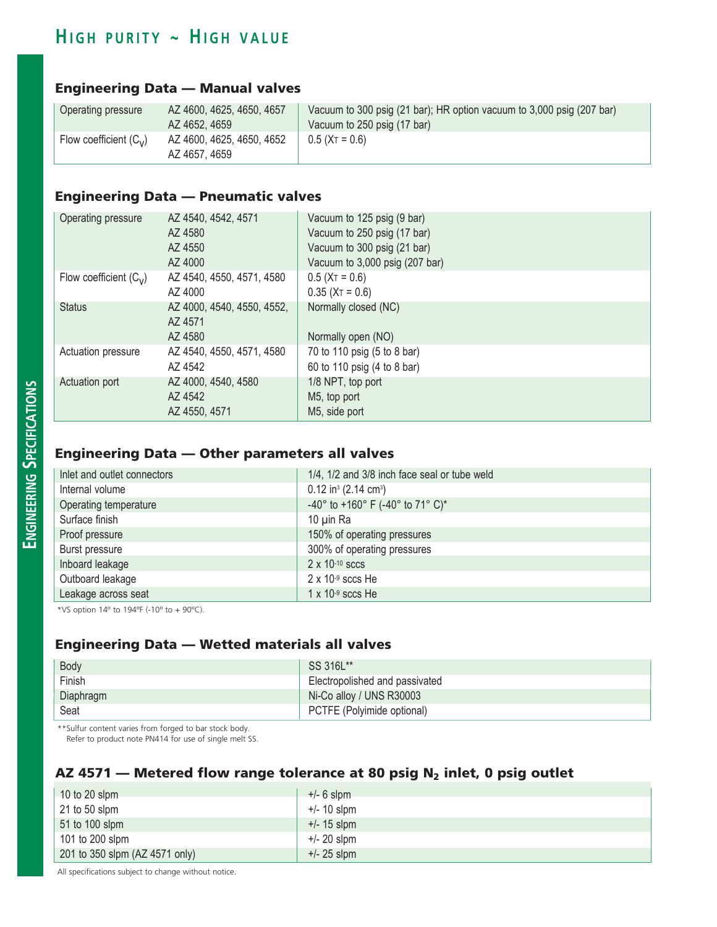# $H$  **igh purity ~ High value**

#### Engineering Data — Manual valves

| Operating pressure       | AZ 4600, 4625, 4650, 4657                  | Vacuum to 300 psig (21 bar); HR option vacuum to 3,000 psig (207 bar) |
|--------------------------|--------------------------------------------|-----------------------------------------------------------------------|
|                          | AZ 4652, 4659                              | Vacuum to 250 psig (17 bar)                                           |
| Flow coefficient $(C_v)$ | AZ 4600, 4625, 4650, 4652<br>AZ 4657, 4659 | $0.5$ (XT = 0.6)                                                      |

## Engineering Data — Pneumatic valves

| Operating pressure       | AZ 4540, 4542, 4571        | Vacuum to 125 psig (9 bar)     |
|--------------------------|----------------------------|--------------------------------|
|                          | AZ 4580                    | Vacuum to 250 psig (17 bar)    |
|                          | AZ 4550                    | Vacuum to 300 psig (21 bar)    |
|                          | AZ 4000                    | Vacuum to 3,000 psig (207 bar) |
| Flow coefficient $(C_v)$ | AZ 4540, 4550, 4571, 4580  | $0.5$ (X <sub>T</sub> = 0.6)   |
|                          | AZ 4000                    | $0.35$ (X <sub>T</sub> = 0.6)  |
| <b>Status</b>            | AZ 4000, 4540, 4550, 4552, | Normally closed (NC)           |
|                          | AZ 4571                    |                                |
|                          | AZ 4580                    | Normally open (NO)             |
| Actuation pressure       | AZ 4540, 4550, 4571, 4580  | 70 to 110 psig (5 to 8 bar)    |
|                          | AZ 4542                    | 60 to 110 psig (4 to 8 bar)    |
| Actuation port           | AZ 4000, 4540, 4580        | 1/8 NPT, top port              |
|                          | AZ 4542                    | M5, top port                   |
|                          | AZ 4550, 4571              | M5, side port                  |

### Engineering Data — Other parameters all valves

| Inlet and outlet connectors | 1/4, 1/2 and 3/8 inch face seal or tube weld   |
|-----------------------------|------------------------------------------------|
| Internal volume             | $0.12$ in <sup>3</sup> (2.14 cm <sup>3</sup> ) |
| Operating temperature       | -40° to +160° F (-40° to 71° C)*               |
| Surface finish              | 10 µin Ra                                      |
| Proof pressure              | 150% of operating pressures                    |
| Burst pressure              | 300% of operating pressures                    |
| Inboard leakage             | $2 \times 10^{-10}$ sccs                       |
| Outboard leakage            | $2 \times 10^{-9}$ sccs He                     |
| Leakage across seat         | $1 \times 10^{-9}$ sccs He                     |

\*VS option  $14^{\circ}$  to  $194^{\circ}$  (-10 $^{\circ}$  to + 90 $^{\circ}$ C).

## Engineering Data — Wetted materials all valves

| Body      | SS 316L**                      |
|-----------|--------------------------------|
| Finish    | Electropolished and passivated |
| Diaphragm | Ni-Co alloy / UNS R30003       |
| Seat      | PCTFE (Polyimide optional)     |

\*\*Sulfur content varies from forged to bar stock body.

Refer to product note PN414 for use of single melt SS.

#### AZ 4571 – Metered flow range tolerance at 80 psig  $N_2$  inlet, 0 psig outlet

| $10$ to 20 slpm                | $+/- 6$ slpm  |
|--------------------------------|---------------|
| $\vert$ 21 to 50 slpm          | $+/- 10$ slpm |
| $51$ to 100 slpm               | $+/- 15$ slpm |
| $101$ to 200 slpm              | $+/- 20$ slpm |
| 201 to 350 slpm (AZ 4571 only) | $+/- 25$ slpm |

All specifications subject to change without notice.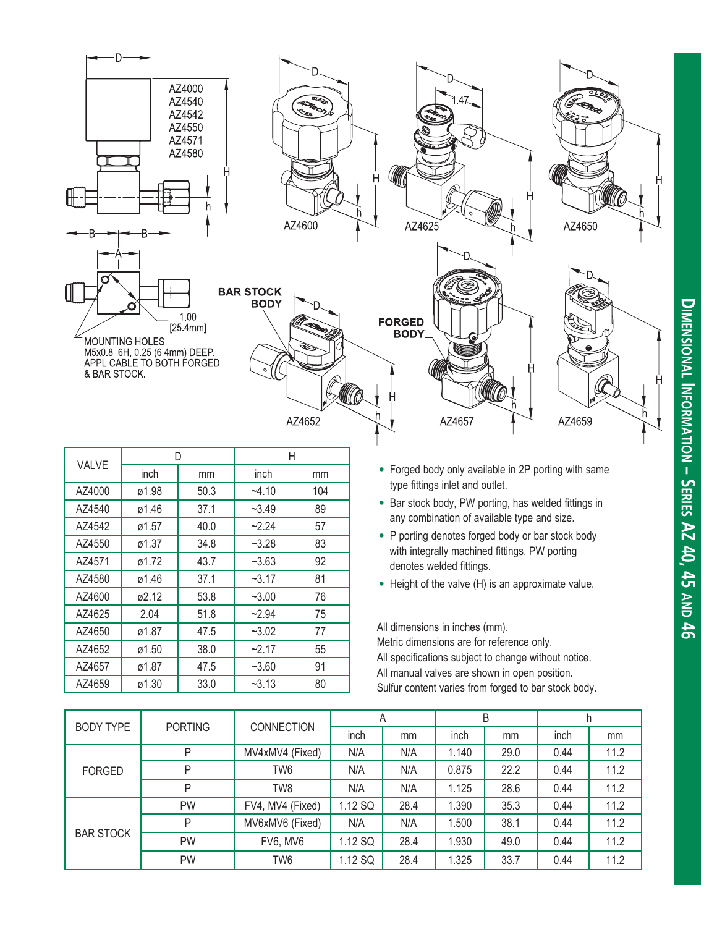

| VALVE  | D     |      | Н       |     |  |
|--------|-------|------|---------|-----|--|
|        | inch  | mm   | inch    | mm  |  |
| AZ4000 | ø1.98 | 50.3 | $-4.10$ | 104 |  |
| AZ4540 | ø1.46 | 37.1 | $-3.49$ | 89  |  |
| AZ4542 | ø1.57 | 40.0 | $-2.24$ | 57  |  |
| AZ4550 | ø1.37 | 34.8 | $-3.28$ | 83  |  |
| AZ4571 | ø1.72 | 43.7 | $-3.63$ | 92  |  |
| AZ4580 | ø1.46 | 37.1 | $-3.17$ | 81  |  |
| AZ4600 | ø2.12 | 53.8 | $-3.00$ | 76  |  |
| AZ4625 | 2.04  | 51.8 | $-2.94$ | 75  |  |
| AZ4650 | ø1.87 | 47.5 | $-3.02$ | 77  |  |
| AZ4652 | ø1.50 | 38.0 | $-2.17$ | 55  |  |
| AZ4657 | ø1.87 | 47.5 | $-3.60$ | 91  |  |
| AZ4659 | ø1.30 | 33.0 | $-3.13$ | 80  |  |

- Forged body only available in 2P porting with same type fittings inlet and outlet.
- Bar stock body, PW porting, has welded fittings in any combination of available type and size.
- P porting denotes forged body or bar stock body with integrally machined fittings. PW porting denotes welded fittings.
- Height of the valve (H) is an approximate value.

All dimensions in inches (mm).

Metric dimensions are for reference only. All specifications subject to change without notice. All manual valves are shown in open position. Sulfur content varies from forged to bar stock body.

|                  |                                    | <b>CONNECTION</b> | A       |      | B     |      |      |      |
|------------------|------------------------------------|-------------------|---------|------|-------|------|------|------|
|                  | <b>PORTING</b><br><b>BODY TYPE</b> |                   | inch    | mm   | inch  | mm   | inch | mm   |
|                  | P                                  | MV4xMV4 (Fixed)   | N/A     | N/A  | 1.140 | 29.0 | 0.44 | 11.2 |
| <b>FORGED</b>    | P                                  | TW <sub>6</sub>   | N/A     | N/A  | 0.875 | 22.2 | 0.44 | 11.2 |
|                  | P                                  | TW8               | N/A     | N/A  | 1.125 | 28.6 | 0.44 | 11.2 |
|                  | <b>PW</b>                          | FV4, MV4 (Fixed)  | 1.12 SQ | 28.4 | 1.390 | 35.3 | 0.44 | 11.2 |
|                  | P                                  | MV6xMV6 (Fixed)   | N/A     | N/A  | 1.500 | 38.1 | 0.44 | 11.2 |
| <b>BAR STOCK</b> | <b>PW</b>                          | FV6, MV6          | 1.12 SQ | 28.4 | 1.930 | 49.0 | 0.44 | 11.2 |
|                  | <b>PW</b>                          | TW6               | 1.12 SQ | 28.4 | 1.325 | 33.7 | 0.44 | 11.2 |